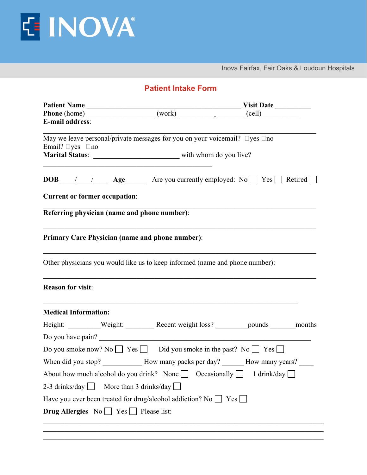

Inova Fairfax, Fair Oaks & Loudoun Hospitals

| <b>E-mail address:</b>                                                      |                                                                             |                                                                                              |  |
|-----------------------------------------------------------------------------|-----------------------------------------------------------------------------|----------------------------------------------------------------------------------------------|--|
| Email? $\Box$ yes $\Box$ no                                                 |                                                                             | May we leave personal/private messages for you on your voicemail? $\square$ yes $\square$ no |  |
|                                                                             |                                                                             |                                                                                              |  |
| <b>Current or former occupation:</b>                                        |                                                                             |                                                                                              |  |
|                                                                             | Referring physician (name and phone number):                                |                                                                                              |  |
|                                                                             | <b>Primary Care Physician (name and phone number):</b>                      |                                                                                              |  |
|                                                                             |                                                                             | Other physicians you would like us to keep informed (name and phone number):                 |  |
| <b>Reason for visit:</b>                                                    |                                                                             |                                                                                              |  |
| <b>Medical Information:</b>                                                 |                                                                             |                                                                                              |  |
|                                                                             |                                                                             | Height: Weight: Necent weight loss? ________ pounds ______ months                            |  |
|                                                                             | Do you have pain?                                                           |                                                                                              |  |
|                                                                             |                                                                             | Do you smoke now? No $\Box$ Yes $\Box$ Did you smoke in the past? No $\Box$ Yes $\Box$       |  |
|                                                                             |                                                                             | When did you stop? ______________ How many packs per day? _______ How many years?            |  |
|                                                                             | About how much alcohol do you drink? None $\Box$ Occasionally $\Box$        | 1 drink/day                                                                                  |  |
| 2-3 drinks/day $\Box$                                                       | More than 3 drinks/day $\Box$                                               |                                                                                              |  |
|                                                                             | Have you ever been treated for drug/alcohol addiction? No $\Box$ Yes $\Box$ |                                                                                              |  |
| <b>Drug Allergies</b> $No \rightharpoonup Yes \rightharpoonup Please list:$ |                                                                             |                                                                                              |  |
|                                                                             |                                                                             |                                                                                              |  |

 $\_$  , and the contribution of the contribution of the contribution of the contribution of  $\mathcal{L}_\text{max}$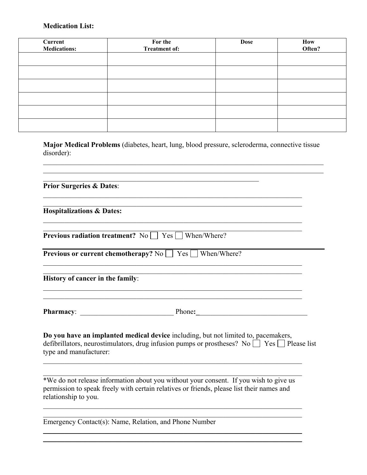## **Medication List:**

| Current<br><b>Medications:</b> | For the<br><b>Treatment of:</b> | <b>Dose</b> | How<br>Often? |
|--------------------------------|---------------------------------|-------------|---------------|
|                                |                                 |             |               |
|                                |                                 |             |               |
|                                |                                 |             |               |
|                                |                                 |             |               |
|                                |                                 |             |               |
|                                |                                 |             |               |

**Major Medical Problems** (diabetes, heart, lung, blood pressure, scleroderma, connective tissue disorder):

 $\mathcal{L}_\mathcal{L} = \{ \mathcal{L}_\mathcal{L} = \{ \mathcal{L}_\mathcal{L} = \{ \mathcal{L}_\mathcal{L} = \{ \mathcal{L}_\mathcal{L} = \{ \mathcal{L}_\mathcal{L} = \{ \mathcal{L}_\mathcal{L} = \{ \mathcal{L}_\mathcal{L} = \{ \mathcal{L}_\mathcal{L} = \{ \mathcal{L}_\mathcal{L} = \{ \mathcal{L}_\mathcal{L} = \{ \mathcal{L}_\mathcal{L} = \{ \mathcal{L}_\mathcal{L} = \{ \mathcal{L}_\mathcal{L} = \{ \mathcal{L}_\mathcal{$  $\mathcal{L}_\mathcal{L} = \{ \mathcal{L}_\mathcal{L} = \{ \mathcal{L}_\mathcal{L} = \{ \mathcal{L}_\mathcal{L} = \{ \mathcal{L}_\mathcal{L} = \{ \mathcal{L}_\mathcal{L} = \{ \mathcal{L}_\mathcal{L} = \{ \mathcal{L}_\mathcal{L} = \{ \mathcal{L}_\mathcal{L} = \{ \mathcal{L}_\mathcal{L} = \{ \mathcal{L}_\mathcal{L} = \{ \mathcal{L}_\mathcal{L} = \{ \mathcal{L}_\mathcal{L} = \{ \mathcal{L}_\mathcal{L} = \{ \mathcal{L}_\mathcal{$ 

 $\mathcal{L}_\text{max}$  , and the contribution of the contribution of the contribution of the contribution of the contribution of the contribution of the contribution of the contribution of the contribution of the contribution of t  $\mathcal{L}_\text{max}$  , and the contribution of the contribution of the contribution of the contribution of the contribution of the contribution of the contribution of the contribution of the contribution of the contribution of t

 $\mathcal{L}_\text{max} = \mathcal{L}_\text{max} = \mathcal{L}_\text{max} = \mathcal{L}_\text{max} = \mathcal{L}_\text{max} = \mathcal{L}_\text{max} = \mathcal{L}_\text{max} = \mathcal{L}_\text{max} = \mathcal{L}_\text{max} = \mathcal{L}_\text{max} = \mathcal{L}_\text{max} = \mathcal{L}_\text{max} = \mathcal{L}_\text{max} = \mathcal{L}_\text{max} = \mathcal{L}_\text{max} = \mathcal{L}_\text{max} = \mathcal{L}_\text{max} = \mathcal{L}_\text{max} = \mathcal{$ 

 $\mathcal{L}_\text{max}$  , and the contribution of the contribution of the contribution of the contribution of the contribution of the contribution of the contribution of the contribution of the contribution of the contribution of t  $\mathcal{L}_\text{max}$  , and the contribution of the contribution of the contribution of the contribution of the contribution of the contribution of the contribution of the contribution of the contribution of the contribution of t

 $\mathcal{L}_\text{max} = \mathcal{L}_\text{max} = \mathcal{L}_\text{max} = \mathcal{L}_\text{max} = \mathcal{L}_\text{max} = \mathcal{L}_\text{max} = \mathcal{L}_\text{max} = \mathcal{L}_\text{max} = \mathcal{L}_\text{max} = \mathcal{L}_\text{max} = \mathcal{L}_\text{max} = \mathcal{L}_\text{max} = \mathcal{L}_\text{max} = \mathcal{L}_\text{max} = \mathcal{L}_\text{max} = \mathcal{L}_\text{max} = \mathcal{L}_\text{max} = \mathcal{L}_\text{max} = \mathcal{$ 

**Prior Surgeries & Dates**:

**Hospitalizations & Dates:**

| <b>Previous radiation treatment?</b> No $\Box$ Yes $\Box$ When/Where? |  |
|-----------------------------------------------------------------------|--|

| <b>Previous or current chemotherapy?</b> No $\Box$ Yes $\Box$ When/Where? |  |
|---------------------------------------------------------------------------|--|
|---------------------------------------------------------------------------|--|

 $\mathcal{L}_\text{max}$  and the contract of the contract of the contract of the contract of the contract of the contract of

**History of cancer in the family**:

**Pharmacy**: \_\_\_\_\_\_\_\_\_\_\_\_\_\_\_\_\_\_\_\_\_\_\_\_\_\_ Phone**:\_**\_\_\_\_\_\_\_\_\_\_\_\_\_\_\_\_\_\_\_\_\_\_\_\_\_\_\_\_\_\_

 $\_$  ,  $\_$  ,  $\_$  ,  $\_$  ,  $\_$  ,  $\_$  ,  $\_$  ,  $\_$  ,  $\_$  ,  $\_$  ,  $\_$  ,  $\_$  ,  $\_$  ,  $\_$  ,  $\_$  ,  $\_$  ,  $\_$  ,  $\_$  ,  $\_$  ,  $\_$  ,  $\_$  ,  $\_$  ,  $\_$  ,  $\_$  ,  $\_$  ,  $\_$  ,  $\_$  ,  $\_$  ,  $\_$  ,  $\_$  ,  $\_$  ,  $\_$  ,  $\_$  ,  $\_$  ,  $\_$  ,  $\_$  ,  $\_$  ,

\_\_\_\_\_\_\_\_\_\_\_\_\_\_\_\_\_\_\_\_\_\_\_\_\_\_\_\_\_\_\_\_\_\_\_\_\_\_\_\_\_\_\_\_\_\_\_\_\_\_\_\_\_\_\_\_\_\_\_\_\_\_\_\_\_\_\_\_\_\_\_\_

**Do you have an implanted medical device** including, but not limited to, pacemakers, defibrillators, neurostimulators, drug infusion pumps or prostheses? No  $\Box$  Yes  $\Box$  Please list type and manufacturer:

\*We do not release information about you without your consent. If you wish to give us permission to speak freely with certain relatives or friends, please list their names and relationship to you.

\_\_\_\_\_\_\_\_\_\_\_\_\_\_\_\_\_\_\_\_\_\_\_\_\_\_\_\_\_\_\_\_\_\_\_\_\_\_\_\_\_\_\_\_\_\_\_\_\_\_\_\_\_\_\_\_\_\_\_\_\_\_\_\_\_\_\_\_\_\_\_\_ \_\_\_\_\_\_\_\_\_\_\_\_\_\_\_\_\_\_\_\_\_\_\_\_\_\_\_\_\_\_\_\_\_\_\_\_\_\_\_\_\_\_\_\_\_\_\_\_\_\_\_\_\_\_\_\_\_\_\_\_\_\_\_\_\_\_\_\_\_\_\_\_

 $\_$  , and the contribution of the contribution of  $\mathcal{L}_\mathcal{A}$  , and the contribution of  $\mathcal{L}_\mathcal{A}$  $\_$  , and the contribution of the contribution of  $\mathcal{L}_\mathcal{A}$  , and the contribution of  $\mathcal{L}_\mathcal{A}$ 

Emergency Contact(s): Name, Relation, and Phone Number